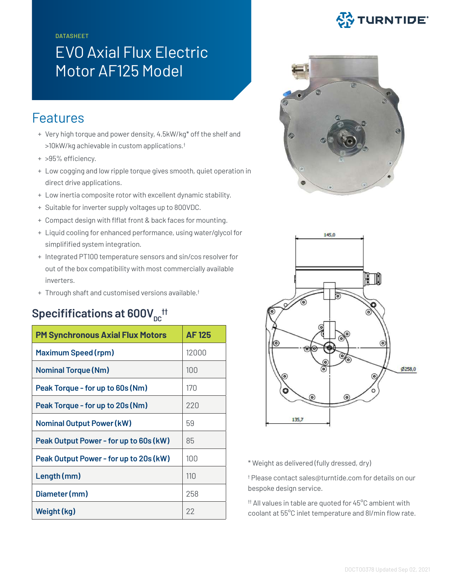**DATASHEET** 

## EVO Axial Flux Electric Motor AF125 Model

## Features

- + Very high torque and power density, 4.5kW/kg\* off the shelf and >10kW/kg achievable in custom applications.†
- + >95% efficiency.
- + Low cogging and low ripple torque gives smooth, quiet operation in direct drive applications.
- + Low inertia composite rotor with excellent dynamic stability.
- + Suitable for inverter supply voltages up to 800VDC.
- + Compact design with flflat front & back faces for mounting.
- + Liquid cooling for enhanced performance, using water/glycol for simplifified system integration.
- + Integrated PT100 temperature sensors and sin/cos resolver for out of the box compatibility with most commercially available inverters.
- + Through shaft and customised versions available.†

## $\mathsf{Specififications}$  at  $\mathsf{600V}_{\mathsf{DC}}$  <sup>††</sup>

| <b>PM Synchronous Axial Flux Motors</b> | <b>AF125</b> |
|-----------------------------------------|--------------|
| <b>Maximum Speed (rpm)</b>              | 12000        |
| <b>Nominal Torque (Nm)</b>              | 100          |
| Peak Torque - for up to 60s (Nm)        | 170          |
| Peak Torque - for up to 20s (Nm)        | 220          |
| <b>Nominal Output Power (kW)</b>        | 59           |
| Peak Output Power - for up to 60s (kW)  | 85           |
| Peak Output Power - for up to 20s (kW)  | 100          |
| Length (mm)                             | 110          |
| Diameter (mm)                           | 258          |
| Weight (kg)                             | 22           |







\* Weight as delivered (fully dressed, dry)

† Please contact sales@turntide.com for details on our bespoke design service.

†† All values in table are quoted for 45°C ambient with coolant at 55°C inlet temperature and 8l/min flow rate.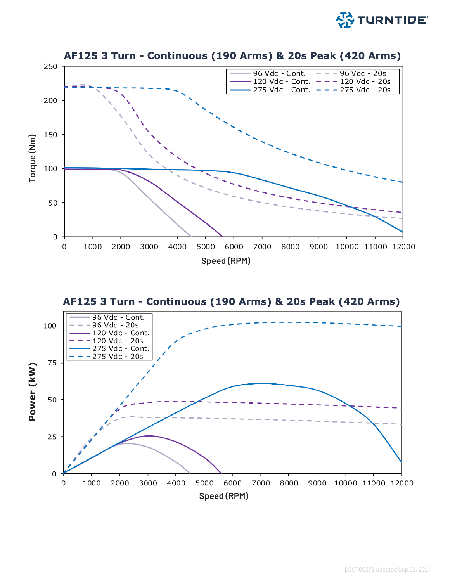





DOCT00378 Updated Sep 02, 2021